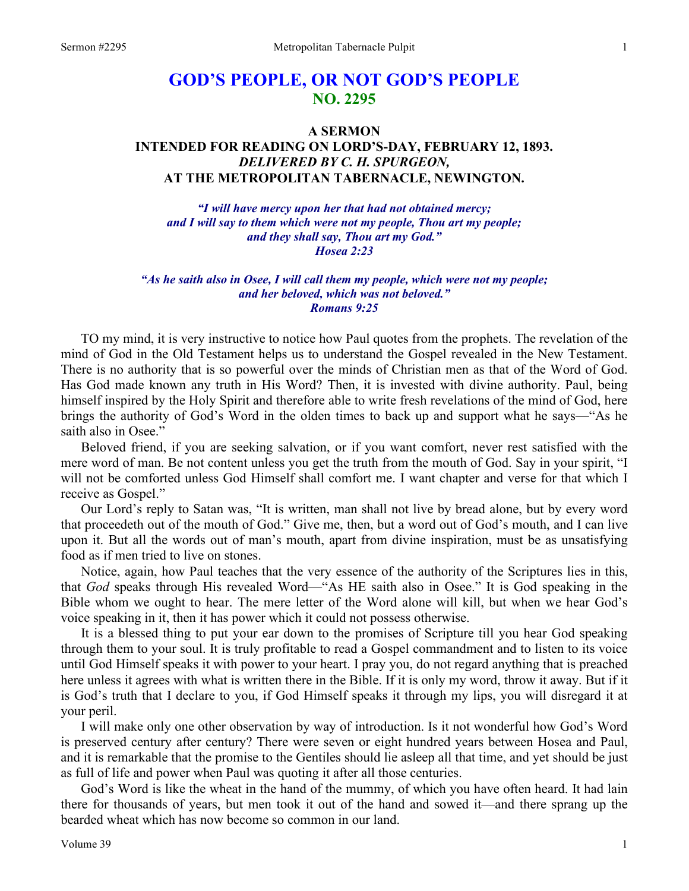# **GOD'S PEOPLE, OR NOT GOD'S PEOPLE NO. 2295**

## **A SERMON INTENDED FOR READING ON LORD'S-DAY, FEBRUARY 12, 1893.**  *DELIVERED BY C. H. SPURGEON,*  **AT THE METROPOLITAN TABERNACLE, NEWINGTON.**

*"I will have mercy upon her that had not obtained mercy; and I will say to them which were not my people, Thou art my people; and they shall say, Thou art my God." Hosea 2:23* 

*"As he saith also in Osee, I will call them my people, which were not my people; and her beloved, which was not beloved." Romans 9:25* 

TO my mind, it is very instructive to notice how Paul quotes from the prophets. The revelation of the mind of God in the Old Testament helps us to understand the Gospel revealed in the New Testament. There is no authority that is so powerful over the minds of Christian men as that of the Word of God. Has God made known any truth in His Word? Then, it is invested with divine authority. Paul, being himself inspired by the Holy Spirit and therefore able to write fresh revelations of the mind of God, here brings the authority of God's Word in the olden times to back up and support what he says—"As he saith also in Osee."

Beloved friend, if you are seeking salvation, or if you want comfort, never rest satisfied with the mere word of man. Be not content unless you get the truth from the mouth of God. Say in your spirit, "I will not be comforted unless God Himself shall comfort me. I want chapter and verse for that which I receive as Gospel."

Our Lord's reply to Satan was, "It is written, man shall not live by bread alone, but by every word that proceedeth out of the mouth of God." Give me, then, but a word out of God's mouth, and I can live upon it. But all the words out of man's mouth, apart from divine inspiration, must be as unsatisfying food as if men tried to live on stones.

Notice, again, how Paul teaches that the very essence of the authority of the Scriptures lies in this, that *God* speaks through His revealed Word—"As HE saith also in Osee." It is God speaking in the Bible whom we ought to hear. The mere letter of the Word alone will kill, but when we hear God's voice speaking in it, then it has power which it could not possess otherwise.

It is a blessed thing to put your ear down to the promises of Scripture till you hear God speaking through them to your soul. It is truly profitable to read a Gospel commandment and to listen to its voice until God Himself speaks it with power to your heart. I pray you, do not regard anything that is preached here unless it agrees with what is written there in the Bible. If it is only my word, throw it away. But if it is God's truth that I declare to you, if God Himself speaks it through my lips, you will disregard it at your peril.

I will make only one other observation by way of introduction. Is it not wonderful how God's Word is preserved century after century? There were seven or eight hundred years between Hosea and Paul, and it is remarkable that the promise to the Gentiles should lie asleep all that time, and yet should be just as full of life and power when Paul was quoting it after all those centuries.

God's Word is like the wheat in the hand of the mummy, of which you have often heard. It had lain there for thousands of years, but men took it out of the hand and sowed it—and there sprang up the bearded wheat which has now become so common in our land.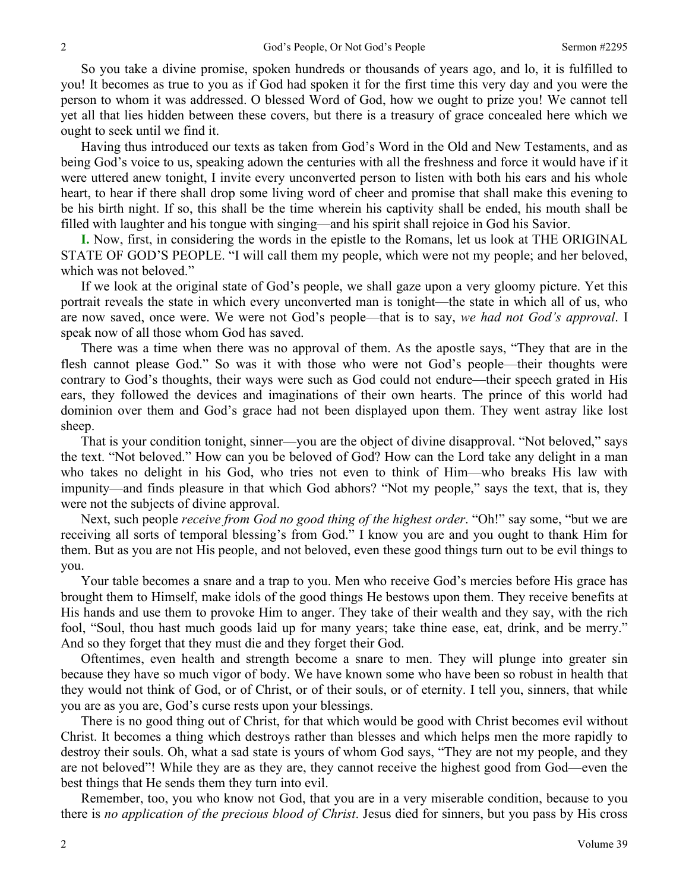So you take a divine promise, spoken hundreds or thousands of years ago, and lo, it is fulfilled to you! It becomes as true to you as if God had spoken it for the first time this very day and you were the person to whom it was addressed. O blessed Word of God, how we ought to prize you! We cannot tell yet all that lies hidden between these covers, but there is a treasury of grace concealed here which we ought to seek until we find it.

Having thus introduced our texts as taken from God's Word in the Old and New Testaments, and as being God's voice to us, speaking adown the centuries with all the freshness and force it would have if it were uttered anew tonight, I invite every unconverted person to listen with both his ears and his whole heart, to hear if there shall drop some living word of cheer and promise that shall make this evening to be his birth night. If so, this shall be the time wherein his captivity shall be ended, his mouth shall be filled with laughter and his tongue with singing—and his spirit shall rejoice in God his Savior.

**I.** Now, first, in considering the words in the epistle to the Romans, let us look at THE ORIGINAL STATE OF GOD'S PEOPLE. "I will call them my people, which were not my people; and her beloved, which was not beloved."

If we look at the original state of God's people, we shall gaze upon a very gloomy picture. Yet this portrait reveals the state in which every unconverted man is tonight—the state in which all of us, who are now saved, once were. We were not God's people—that is to say, *we had not God's approval*. I speak now of all those whom God has saved.

There was a time when there was no approval of them. As the apostle says, "They that are in the flesh cannot please God." So was it with those who were not God's people—their thoughts were contrary to God's thoughts, their ways were such as God could not endure—their speech grated in His ears, they followed the devices and imaginations of their own hearts. The prince of this world had dominion over them and God's grace had not been displayed upon them. They went astray like lost sheep.

That is your condition tonight, sinner—you are the object of divine disapproval. "Not beloved," says the text. "Not beloved." How can you be beloved of God? How can the Lord take any delight in a man who takes no delight in his God, who tries not even to think of Him—who breaks His law with impunity—and finds pleasure in that which God abhors? "Not my people," says the text, that is, they were not the subjects of divine approval.

Next, such people *receive from God no good thing of the highest order*. "Oh!" say some, "but we are receiving all sorts of temporal blessing's from God." I know you are and you ought to thank Him for them. But as you are not His people, and not beloved, even these good things turn out to be evil things to you.

Your table becomes a snare and a trap to you. Men who receive God's mercies before His grace has brought them to Himself, make idols of the good things He bestows upon them. They receive benefits at His hands and use them to provoke Him to anger. They take of their wealth and they say, with the rich fool, "Soul, thou hast much goods laid up for many years; take thine ease, eat, drink, and be merry." And so they forget that they must die and they forget their God.

Oftentimes, even health and strength become a snare to men. They will plunge into greater sin because they have so much vigor of body. We have known some who have been so robust in health that they would not think of God, or of Christ, or of their souls, or of eternity. I tell you, sinners, that while you are as you are, God's curse rests upon your blessings.

There is no good thing out of Christ, for that which would be good with Christ becomes evil without Christ. It becomes a thing which destroys rather than blesses and which helps men the more rapidly to destroy their souls. Oh, what a sad state is yours of whom God says, "They are not my people, and they are not beloved"! While they are as they are, they cannot receive the highest good from God—even the best things that He sends them they turn into evil.

Remember, too, you who know not God, that you are in a very miserable condition, because to you there is *no application of the precious blood of Christ*. Jesus died for sinners, but you pass by His cross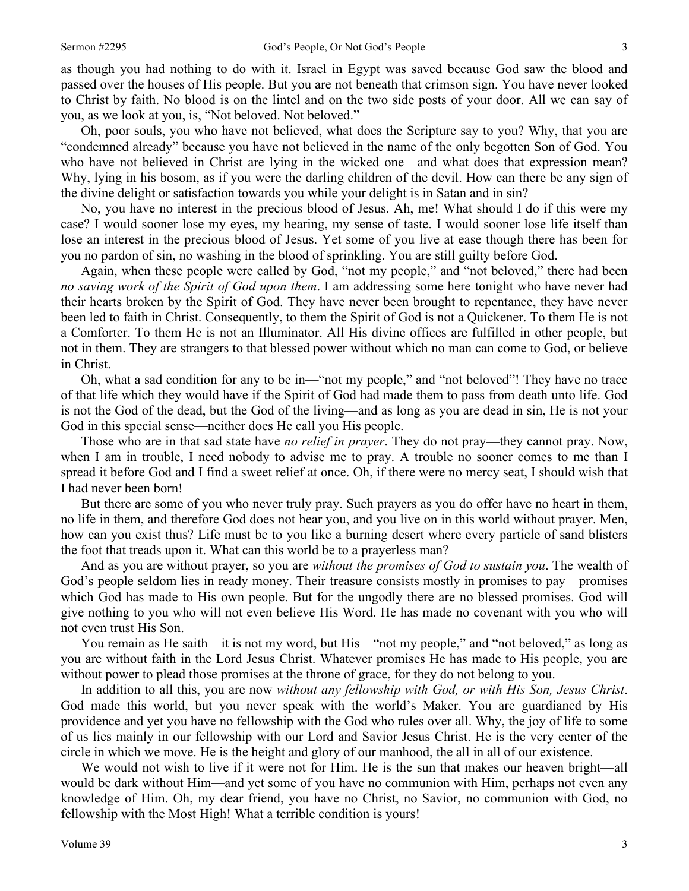as though you had nothing to do with it. Israel in Egypt was saved because God saw the blood and passed over the houses of His people. But you are not beneath that crimson sign. You have never looked to Christ by faith. No blood is on the lintel and on the two side posts of your door. All we can say of you, as we look at you, is, "Not beloved. Not beloved."

Oh, poor souls, you who have not believed, what does the Scripture say to you? Why, that you are "condemned already" because you have not believed in the name of the only begotten Son of God. You who have not believed in Christ are lying in the wicked one—and what does that expression mean? Why, lying in his bosom, as if you were the darling children of the devil. How can there be any sign of the divine delight or satisfaction towards you while your delight is in Satan and in sin?

No, you have no interest in the precious blood of Jesus. Ah, me! What should I do if this were my case? I would sooner lose my eyes, my hearing, my sense of taste. I would sooner lose life itself than lose an interest in the precious blood of Jesus. Yet some of you live at ease though there has been for you no pardon of sin, no washing in the blood of sprinkling. You are still guilty before God.

Again, when these people were called by God, "not my people," and "not beloved," there had been *no saving work of the Spirit of God upon them*. I am addressing some here tonight who have never had their hearts broken by the Spirit of God. They have never been brought to repentance, they have never been led to faith in Christ. Consequently, to them the Spirit of God is not a Quickener. To them He is not a Comforter. To them He is not an Illuminator. All His divine offices are fulfilled in other people, but not in them. They are strangers to that blessed power without which no man can come to God, or believe in Christ.

Oh, what a sad condition for any to be in—"not my people," and "not beloved"! They have no trace of that life which they would have if the Spirit of God had made them to pass from death unto life. God is not the God of the dead, but the God of the living—and as long as you are dead in sin, He is not your God in this special sense—neither does He call you His people.

Those who are in that sad state have *no relief in prayer*. They do not pray—they cannot pray. Now, when I am in trouble, I need nobody to advise me to pray. A trouble no sooner comes to me than I spread it before God and I find a sweet relief at once. Oh, if there were no mercy seat, I should wish that I had never been born!

But there are some of you who never truly pray. Such prayers as you do offer have no heart in them, no life in them, and therefore God does not hear you, and you live on in this world without prayer. Men, how can you exist thus? Life must be to you like a burning desert where every particle of sand blisters the foot that treads upon it. What can this world be to a prayerless man?

And as you are without prayer, so you are *without the promises of God to sustain you*. The wealth of God's people seldom lies in ready money. Their treasure consists mostly in promises to pay—promises which God has made to His own people. But for the ungodly there are no blessed promises. God will give nothing to you who will not even believe His Word. He has made no covenant with you who will not even trust His Son.

You remain as He saith—it is not my word, but His—"not my people," and "not beloved," as long as you are without faith in the Lord Jesus Christ. Whatever promises He has made to His people, you are without power to plead those promises at the throne of grace, for they do not belong to you.

In addition to all this, you are now *without any fellowship with God, or with His Son, Jesus Christ*. God made this world, but you never speak with the world's Maker. You are guardianed by His providence and yet you have no fellowship with the God who rules over all. Why, the joy of life to some of us lies mainly in our fellowship with our Lord and Savior Jesus Christ. He is the very center of the circle in which we move. He is the height and glory of our manhood, the all in all of our existence.

We would not wish to live if it were not for Him. He is the sun that makes our heaven bright—all would be dark without Him—and yet some of you have no communion with Him, perhaps not even any knowledge of Him. Oh, my dear friend, you have no Christ, no Savior, no communion with God, no fellowship with the Most High! What a terrible condition is yours!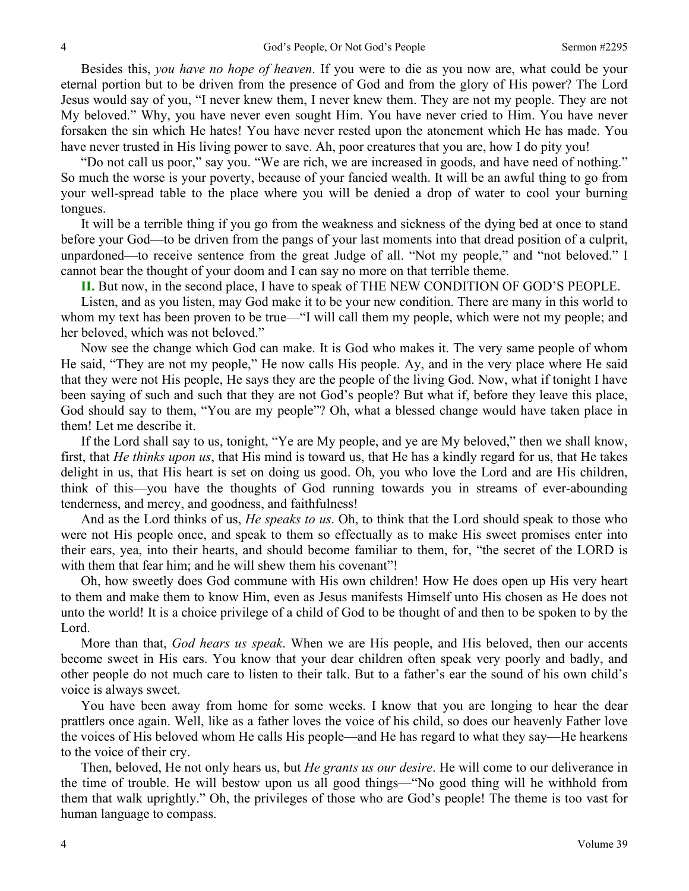Besides this, *you have no hope of heaven*. If you were to die as you now are, what could be your eternal portion but to be driven from the presence of God and from the glory of His power? The Lord Jesus would say of you, "I never knew them, I never knew them. They are not my people. They are not My beloved." Why, you have never even sought Him. You have never cried to Him. You have never forsaken the sin which He hates! You have never rested upon the atonement which He has made. You have never trusted in His living power to save. Ah, poor creatures that you are, how I do pity you!

"Do not call us poor," say you. "We are rich, we are increased in goods, and have need of nothing." So much the worse is your poverty, because of your fancied wealth. It will be an awful thing to go from your well-spread table to the place where you will be denied a drop of water to cool your burning tongues.

It will be a terrible thing if you go from the weakness and sickness of the dying bed at once to stand before your God—to be driven from the pangs of your last moments into that dread position of a culprit, unpardoned—to receive sentence from the great Judge of all. "Not my people," and "not beloved." I cannot bear the thought of your doom and I can say no more on that terrible theme.

**II.** But now, in the second place, I have to speak of THE NEW CONDITION OF GOD'S PEOPLE.

Listen, and as you listen, may God make it to be your new condition. There are many in this world to whom my text has been proven to be true—"I will call them my people, which were not my people; and her beloved, which was not beloved."

Now see the change which God can make. It is God who makes it. The very same people of whom He said, "They are not my people," He now calls His people. Ay, and in the very place where He said that they were not His people, He says they are the people of the living God. Now, what if tonight I have been saying of such and such that they are not God's people? But what if, before they leave this place, God should say to them, "You are my people"? Oh, what a blessed change would have taken place in them! Let me describe it.

If the Lord shall say to us, tonight, "Ye are My people, and ye are My beloved," then we shall know, first, that *He thinks upon us*, that His mind is toward us, that He has a kindly regard for us, that He takes delight in us, that His heart is set on doing us good. Oh, you who love the Lord and are His children, think of this—you have the thoughts of God running towards you in streams of ever-abounding tenderness, and mercy, and goodness, and faithfulness!

And as the Lord thinks of us, *He speaks to us*. Oh, to think that the Lord should speak to those who were not His people once, and speak to them so effectually as to make His sweet promises enter into their ears, yea, into their hearts, and should become familiar to them, for, "the secret of the LORD is with them that fear him; and he will shew them his covenant"!

Oh, how sweetly does God commune with His own children! How He does open up His very heart to them and make them to know Him, even as Jesus manifests Himself unto His chosen as He does not unto the world! It is a choice privilege of a child of God to be thought of and then to be spoken to by the Lord.

More than that, *God hears us speak*. When we are His people, and His beloved, then our accents become sweet in His ears. You know that your dear children often speak very poorly and badly, and other people do not much care to listen to their talk. But to a father's ear the sound of his own child's voice is always sweet.

You have been away from home for some weeks. I know that you are longing to hear the dear prattlers once again. Well, like as a father loves the voice of his child, so does our heavenly Father love the voices of His beloved whom He calls His people—and He has regard to what they say—He hearkens to the voice of their cry.

Then, beloved, He not only hears us, but *He grants us our desire*. He will come to our deliverance in the time of trouble. He will bestow upon us all good things—"No good thing will he withhold from them that walk uprightly." Oh, the privileges of those who are God's people! The theme is too vast for human language to compass.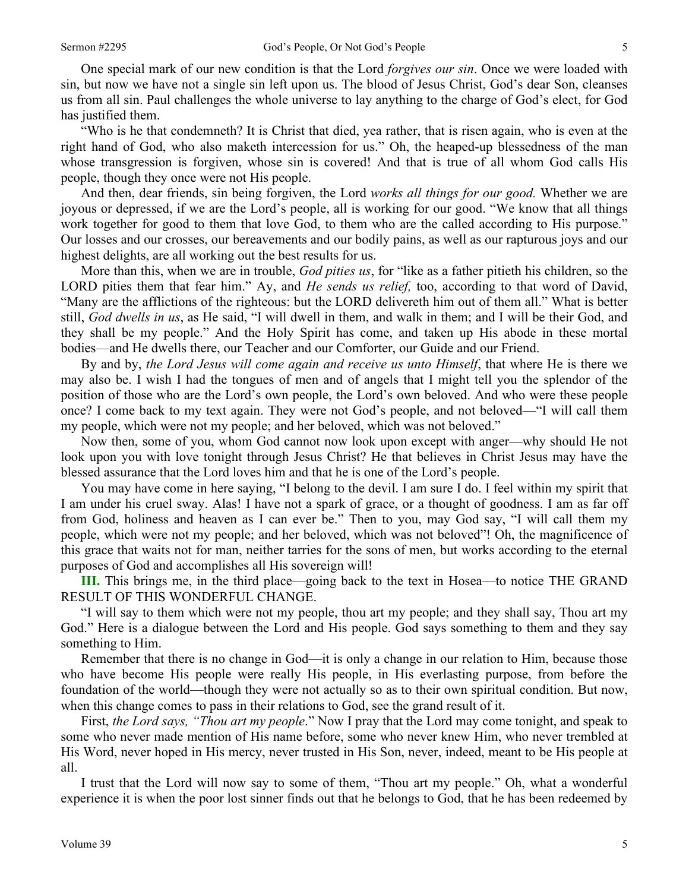One special mark of our new condition is that the Lord *forgives our sin*. Once we were loaded with sin, but now we have not a single sin left upon us. The blood of Jesus Christ, God's dear Son, cleanses us from all sin. Paul challenges the whole universe to lay anything to the charge of God's elect, for God has justified them.

"Who is he that condemneth? It is Christ that died, yea rather, that is risen again, who is even at the right hand of God, who also maketh intercession for us." Oh, the heaped-up blessedness of the man whose transgression is forgiven, whose sin is covered! And that is true of all whom God calls His people, though they once were not His people.

And then, dear friends, sin being forgiven, the Lord *works all things for our good.* Whether we are joyous or depressed, if we are the Lord's people, all is working for our good. "We know that all things work together for good to them that love God, to them who are the called according to His purpose." Our losses and our crosses, our bereavements and our bodily pains, as well as our rapturous joys and our highest delights, are all working out the best results for us.

More than this, when we are in trouble, *God pities us*, for "like as a father pitieth his children, so the LORD pities them that fear him." Ay, and *He sends us relief,* too, according to that word of David, "Many are the afflictions of the righteous: but the LORD delivereth him out of them all." What is better still, *God dwells in us*, as He said, "I will dwell in them, and walk in them; and I will be their God, and they shall be my people." And the Holy Spirit has come, and taken up His abode in these mortal bodies—and He dwells there, our Teacher and our Comforter, our Guide and our Friend.

By and by, *the Lord Jesus will come again and receive us unto Himself*, that where He is there we may also be. I wish I had the tongues of men and of angels that I might tell you the splendor of the position of those who are the Lord's own people, the Lord's own beloved. And who were these people once? I come back to my text again. They were not God's people, and not beloved—"I will call them my people, which were not my people; and her beloved, which was not beloved."

Now then, some of you, whom God cannot now look upon except with anger—why should He not look upon you with love tonight through Jesus Christ? He that believes in Christ Jesus may have the blessed assurance that the Lord loves him and that he is one of the Lord's people.

You may have come in here saying, "I belong to the devil. I am sure I do. I feel within my spirit that I am under his cruel sway. Alas! I have not a spark of grace, or a thought of goodness. I am as far off from God, holiness and heaven as I can ever be." Then to you, may God say, "I will call them my people, which were not my people; and her beloved, which was not beloved"! Oh, the magnificence of this grace that waits not for man, neither tarries for the sons of men, but works according to the eternal purposes of God and accomplishes all His sovereign will!

**III.** This brings me, in the third place—going back to the text in Hosea—to notice THE GRAND RESULT OF THIS WONDERFUL CHANGE.

"I will say to them which were not my people, thou art my people; and they shall say, Thou art my God." Here is a dialogue between the Lord and His people. God says something to them and they say something to Him.

Remember that there is no change in God—it is only a change in our relation to Him, because those who have become His people were really His people, in His everlasting purpose, from before the foundation of the world—though they were not actually so as to their own spiritual condition. But now, when this change comes to pass in their relations to God, see the grand result of it.

First, *the Lord says, "Thou art my people*." Now I pray that the Lord may come tonight, and speak to some who never made mention of His name before, some who never knew Him, who never trembled at His Word, never hoped in His mercy, never trusted in His Son, never, indeed, meant to be His people at all.

I trust that the Lord will now say to some of them, "Thou art my people." Oh, what a wonderful experience it is when the poor lost sinner finds out that he belongs to God, that he has been redeemed by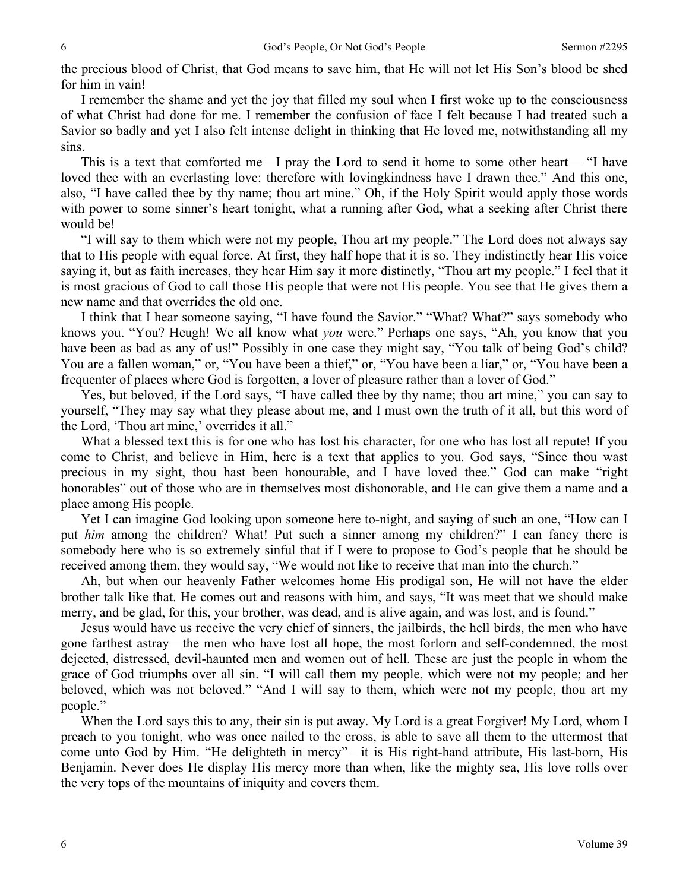the precious blood of Christ, that God means to save him, that He will not let His Son's blood be shed for him in vain!

I remember the shame and yet the joy that filled my soul when I first woke up to the consciousness of what Christ had done for me. I remember the confusion of face I felt because I had treated such a Savior so badly and yet I also felt intense delight in thinking that He loved me, notwithstanding all my sins.

This is a text that comforted me—I pray the Lord to send it home to some other heart— "I have loved thee with an everlasting love: therefore with lovingkindness have I drawn thee." And this one, also, "I have called thee by thy name; thou art mine." Oh, if the Holy Spirit would apply those words with power to some sinner's heart tonight, what a running after God, what a seeking after Christ there would be!

"I will say to them which were not my people, Thou art my people." The Lord does not always say that to His people with equal force. At first, they half hope that it is so. They indistinctly hear His voice saying it, but as faith increases, they hear Him say it more distinctly, "Thou art my people." I feel that it is most gracious of God to call those His people that were not His people. You see that He gives them a new name and that overrides the old one.

I think that I hear someone saying, "I have found the Savior." "What? What?" says somebody who knows you. "You? Heugh! We all know what *you* were." Perhaps one says, "Ah, you know that you have been as bad as any of us!" Possibly in one case they might say, "You talk of being God's child? You are a fallen woman," or, "You have been a thief," or, "You have been a liar," or, "You have been a frequenter of places where God is forgotten, a lover of pleasure rather than a lover of God."

Yes, but beloved, if the Lord says, "I have called thee by thy name; thou art mine," you can say to yourself, "They may say what they please about me, and I must own the truth of it all, but this word of the Lord, 'Thou art mine,' overrides it all."

What a blessed text this is for one who has lost his character, for one who has lost all repute! If you come to Christ, and believe in Him, here is a text that applies to you. God says, "Since thou wast precious in my sight, thou hast been honourable, and I have loved thee." God can make "right honorables" out of those who are in themselves most dishonorable, and He can give them a name and a place among His people.

Yet I can imagine God looking upon someone here to-night, and saying of such an one, "How can I put *him* among the children? What! Put such a sinner among my children?" I can fancy there is somebody here who is so extremely sinful that if I were to propose to God's people that he should be received among them, they would say, "We would not like to receive that man into the church."

Ah, but when our heavenly Father welcomes home His prodigal son, He will not have the elder brother talk like that. He comes out and reasons with him, and says, "It was meet that we should make merry, and be glad, for this, your brother, was dead, and is alive again, and was lost, and is found."

Jesus would have us receive the very chief of sinners, the jailbirds, the hell birds, the men who have gone farthest astray—the men who have lost all hope, the most forlorn and self-condemned, the most dejected, distressed, devil-haunted men and women out of hell. These are just the people in whom the grace of God triumphs over all sin. "I will call them my people, which were not my people; and her beloved, which was not beloved." "And I will say to them, which were not my people, thou art my people."

When the Lord says this to any, their sin is put away. My Lord is a great Forgiver! My Lord, whom I preach to you tonight, who was once nailed to the cross, is able to save all them to the uttermost that come unto God by Him. "He delighteth in mercy"—it is His right-hand attribute, His last-born, His Benjamin. Never does He display His mercy more than when, like the mighty sea, His love rolls over the very tops of the mountains of iniquity and covers them.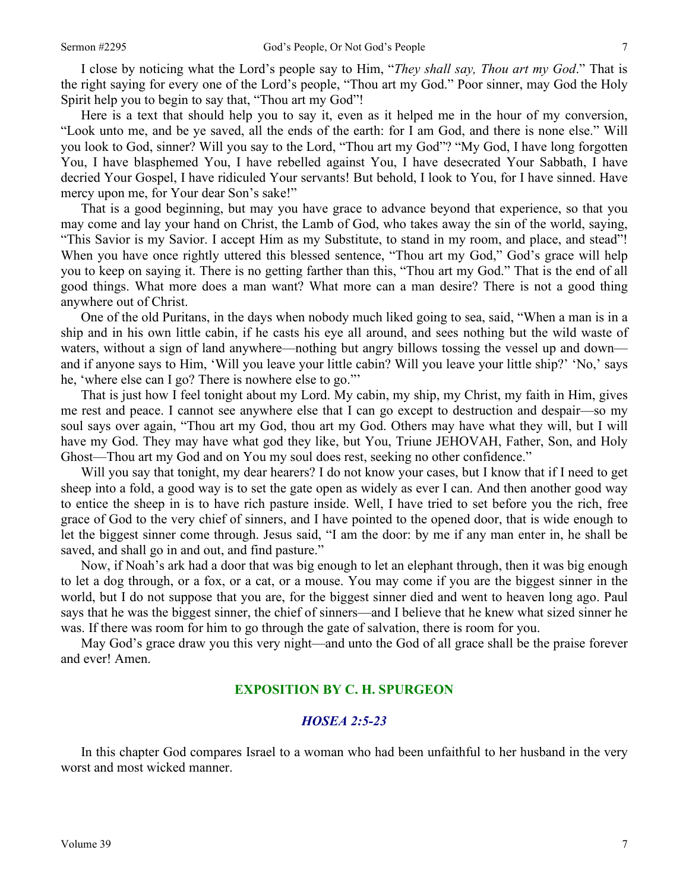I close by noticing what the Lord's people say to Him, "*They shall say, Thou art my God*." That is the right saying for every one of the Lord's people, "Thou art my God." Poor sinner, may God the Holy Spirit help you to begin to say that, "Thou art my God"!

Here is a text that should help you to say it, even as it helped me in the hour of my conversion, "Look unto me, and be ye saved, all the ends of the earth: for I am God, and there is none else." Will you look to God, sinner? Will you say to the Lord, "Thou art my God"? "My God, I have long forgotten You, I have blasphemed You, I have rebelled against You, I have desecrated Your Sabbath, I have decried Your Gospel, I have ridiculed Your servants! But behold, I look to You, for I have sinned. Have mercy upon me, for Your dear Son's sake!"

That is a good beginning, but may you have grace to advance beyond that experience, so that you may come and lay your hand on Christ, the Lamb of God, who takes away the sin of the world, saying, "This Savior is my Savior. I accept Him as my Substitute, to stand in my room, and place, and stead"! When you have once rightly uttered this blessed sentence, "Thou art my God," God's grace will help you to keep on saying it. There is no getting farther than this, "Thou art my God." That is the end of all good things. What more does a man want? What more can a man desire? There is not a good thing anywhere out of Christ.

One of the old Puritans, in the days when nobody much liked going to sea, said, "When a man is in a ship and in his own little cabin, if he casts his eye all around, and sees nothing but the wild waste of waters, without a sign of land anywhere—nothing but angry billows tossing the vessel up and down and if anyone says to Him, 'Will you leave your little cabin? Will you leave your little ship?' 'No,' says he, 'where else can I go? There is nowhere else to go."'

That is just how I feel tonight about my Lord. My cabin, my ship, my Christ, my faith in Him, gives me rest and peace. I cannot see anywhere else that I can go except to destruction and despair—so my soul says over again, "Thou art my God, thou art my God. Others may have what they will, but I will have my God. They may have what god they like, but You, Triune JEHOVAH, Father, Son, and Holy Ghost—Thou art my God and on You my soul does rest, seeking no other confidence."

Will you say that tonight, my dear hearers? I do not know your cases, but I know that if I need to get sheep into a fold, a good way is to set the gate open as widely as ever I can. And then another good way to entice the sheep in is to have rich pasture inside. Well, I have tried to set before you the rich, free grace of God to the very chief of sinners, and I have pointed to the opened door, that is wide enough to let the biggest sinner come through. Jesus said, "I am the door: by me if any man enter in, he shall be saved, and shall go in and out, and find pasture."

Now, if Noah's ark had a door that was big enough to let an elephant through, then it was big enough to let a dog through, or a fox, or a cat, or a mouse. You may come if you are the biggest sinner in the world, but I do not suppose that you are, for the biggest sinner died and went to heaven long ago. Paul says that he was the biggest sinner, the chief of sinners—and I believe that he knew what sized sinner he was. If there was room for him to go through the gate of salvation, there is room for you.

May God's grace draw you this very night—and unto the God of all grace shall be the praise forever and ever! Amen.

### **EXPOSITION BY C. H. SPURGEON**

#### *HOSEA 2:5-23*

In this chapter God compares Israel to a woman who had been unfaithful to her husband in the very worst and most wicked manner.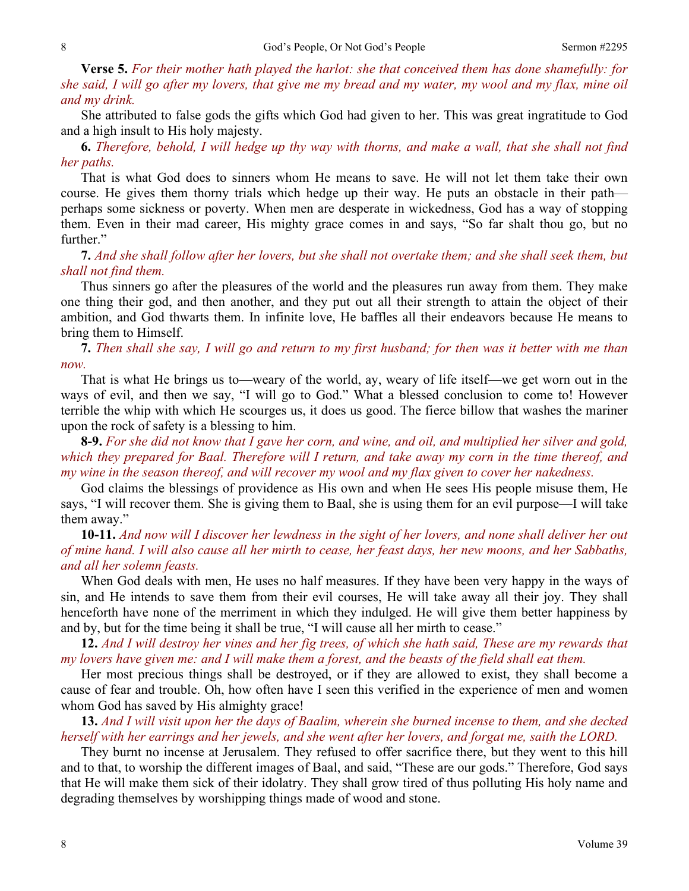**Verse 5.** *For their mother hath played the harlot: she that conceived them has done shamefully: for she said, I will go after my lovers, that give me my bread and my water, my wool and my flax, mine oil and my drink.* 

She attributed to false gods the gifts which God had given to her. This was great ingratitude to God and a high insult to His holy majesty.

**6.** *Therefore, behold, I will hedge up thy way with thorns, and make a wall, that she shall not find her paths.* 

That is what God does to sinners whom He means to save. He will not let them take their own course. He gives them thorny trials which hedge up their way. He puts an obstacle in their path perhaps some sickness or poverty. When men are desperate in wickedness, God has a way of stopping them. Even in their mad career, His mighty grace comes in and says, "So far shalt thou go, but no further."

**7.** *And she shall follow after her lovers, but she shall not overtake them; and she shall seek them, but shall not find them.* 

Thus sinners go after the pleasures of the world and the pleasures run away from them. They make one thing their god, and then another, and they put out all their strength to attain the object of their ambition, and God thwarts them. In infinite love, He baffles all their endeavors because He means to bring them to Himself.

**7.** *Then shall she say, I will go and return to my first husband; for then was it better with me than now.* 

That is what He brings us to—weary of the world, ay, weary of life itself—we get worn out in the ways of evil, and then we say, "I will go to God." What a blessed conclusion to come to! However terrible the whip with which He scourges us, it does us good. The fierce billow that washes the mariner upon the rock of safety is a blessing to him.

**8-9.** *For she did not know that I gave her corn, and wine, and oil, and multiplied her silver and gold, which they prepared for Baal. Therefore will I return, and take away my corn in the time thereof, and my wine in the season thereof, and will recover my wool and my flax given to cover her nakedness.* 

God claims the blessings of providence as His own and when He sees His people misuse them, He says, "I will recover them. She is giving them to Baal, she is using them for an evil purpose—I will take them away."

**10-11.** *And now will I discover her lewdness in the sight of her lovers, and none shall deliver her out of mine hand. I will also cause all her mirth to cease, her feast days, her new moons, and her Sabbaths, and all her solemn feasts.* 

When God deals with men, He uses no half measures. If they have been very happy in the ways of sin, and He intends to save them from their evil courses, He will take away all their joy. They shall henceforth have none of the merriment in which they indulged. He will give them better happiness by and by, but for the time being it shall be true, "I will cause all her mirth to cease."

**12.** *And I will destroy her vines and her fig trees, of which she hath said, These are my rewards that my lovers have given me: and I will make them a forest, and the beasts of the field shall eat them.* 

Her most precious things shall be destroyed, or if they are allowed to exist, they shall become a cause of fear and trouble. Oh, how often have I seen this verified in the experience of men and women whom God has saved by His almighty grace!

**13.** *And I will visit upon her the days of Baalim, wherein she burned incense to them, and she decked herself with her earrings and her jewels, and she went after her lovers, and forgat me, saith the LORD.* 

They burnt no incense at Jerusalem. They refused to offer sacrifice there, but they went to this hill and to that, to worship the different images of Baal, and said, "These are our gods." Therefore, God says that He will make them sick of their idolatry. They shall grow tired of thus polluting His holy name and degrading themselves by worshipping things made of wood and stone.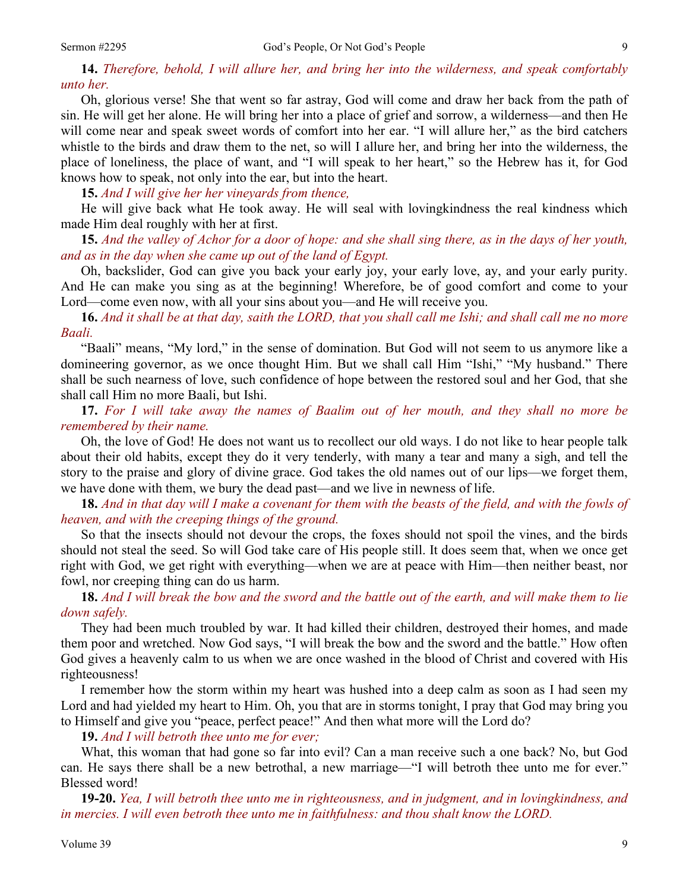**14.** *Therefore, behold, I will allure her, and bring her into the wilderness, and speak comfortably unto her.* 

Oh, glorious verse! She that went so far astray, God will come and draw her back from the path of sin. He will get her alone. He will bring her into a place of grief and sorrow, a wilderness—and then He will come near and speak sweet words of comfort into her ear. "I will allure her," as the bird catchers whistle to the birds and draw them to the net, so will I allure her, and bring her into the wilderness, the place of loneliness, the place of want, and "I will speak to her heart," so the Hebrew has it, for God knows how to speak, not only into the ear, but into the heart.

**15.** *And I will give her her vineyards from thence,* 

He will give back what He took away. He will seal with lovingkindness the real kindness which made Him deal roughly with her at first.

**15.** *And the valley of Achor for a door of hope: and she shall sing there, as in the days of her youth, and as in the day when she came up out of the land of Egypt.* 

Oh, backslider, God can give you back your early joy, your early love, ay, and your early purity. And He can make you sing as at the beginning! Wherefore, be of good comfort and come to your Lord—come even now, with all your sins about you—and He will receive you.

**16.** *And it shall be at that day, saith the LORD, that you shall call me Ishi; and shall call me no more Baali.* 

"Baali" means, "My lord," in the sense of domination. But God will not seem to us anymore like a domineering governor, as we once thought Him. But we shall call Him "Ishi," "My husband." There shall be such nearness of love, such confidence of hope between the restored soul and her God, that she shall call Him no more Baali, but Ishi.

**17.** *For I will take away the names of Baalim out of her mouth, and they shall no more be remembered by their name.* 

Oh, the love of God! He does not want us to recollect our old ways. I do not like to hear people talk about their old habits, except they do it very tenderly, with many a tear and many a sigh, and tell the story to the praise and glory of divine grace. God takes the old names out of our lips—we forget them, we have done with them, we bury the dead past—and we live in newness of life.

**18.** *And in that day will I make a covenant for them with the beasts of the field, and with the fowls of heaven, and with the creeping things of the ground.* 

So that the insects should not devour the crops, the foxes should not spoil the vines, and the birds should not steal the seed. So will God take care of His people still. It does seem that, when we once get right with God, we get right with everything—when we are at peace with Him—then neither beast, nor fowl, nor creeping thing can do us harm.

**18.** *And I will break the bow and the sword and the battle out of the earth, and will make them to lie down safely.* 

They had been much troubled by war. It had killed their children, destroyed their homes, and made them poor and wretched. Now God says, "I will break the bow and the sword and the battle." How often God gives a heavenly calm to us when we are once washed in the blood of Christ and covered with His righteousness!

I remember how the storm within my heart was hushed into a deep calm as soon as I had seen my Lord and had yielded my heart to Him. Oh, you that are in storms tonight, I pray that God may bring you to Himself and give you "peace, perfect peace!" And then what more will the Lord do?

**19.** *And I will betroth thee unto me for ever;* 

What, this woman that had gone so far into evil? Can a man receive such a one back? No, but God can. He says there shall be a new betrothal, a new marriage—"I will betroth thee unto me for ever." Blessed word!

**19-20.** *Yea, I will betroth thee unto me in righteousness, and in judgment, and in lovingkindness, and in mercies. I will even betroth thee unto me in faithfulness: and thou shalt know the LORD.*